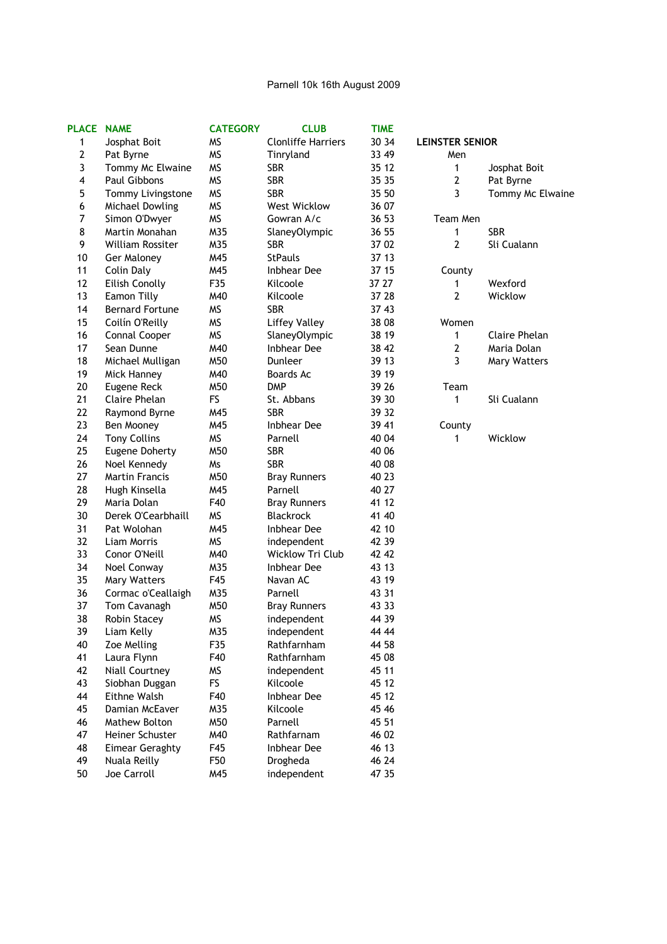## Parnell 10k 16th August 2009

| PLACE NAME     |                        | <b>CATEGORY</b> | <b>CLUB</b>               | <b>TIME</b> |                        |                  |
|----------------|------------------------|-----------------|---------------------------|-------------|------------------------|------------------|
| 1              | Josphat Boit           | MS              | <b>Clonliffe Harriers</b> | 30 34       | <b>LEINSTER SENIOR</b> |                  |
| $\mathbf{2}$   | Pat Byrne              | <b>MS</b>       | Tinryland                 | 33 49       | Men                    |                  |
| 3              | Tommy Mc Elwaine       | <b>MS</b>       | <b>SBR</b>                | 35 12       | 1                      | Josphat Boit     |
| 4              | Paul Gibbons           | <b>MS</b>       | <b>SBR</b>                | 35 35       | $\mathbf{2}$           | Pat Byrne        |
| 5              | Tommy Livingstone      | <b>MS</b>       | <b>SBR</b>                | 35 50       | 3                      | Tommy Mc Elwaine |
| 6              | Michael Dowling        | <b>MS</b>       | <b>West Wicklow</b>       | 36 07       |                        |                  |
| $\overline{7}$ | Simon O'Dwyer          | <b>MS</b>       | Gowran A/c                | 36 53       | Team Men               |                  |
| 8              | Martin Monahan         | M35             | <b>SlaneyOlympic</b>      | 36 55       | $\mathbf{1}$           | <b>SBR</b>       |
| 9              | William Rossiter       | M35             | <b>SBR</b>                | 37 02       | 2                      | Sli Cualann      |
| 10             | Ger Maloney            | M45             | <b>StPauls</b>            | 37 13       |                        |                  |
| 11             | Colin Daly             | M45             | Inbhear Dee               | 37 15       | County                 |                  |
| 12             | Eilish Conolly         | F35             | Kilcoole                  | 37 27       | 1                      | Wexford          |
| 13             | Eamon Tilly            | M40             | Kilcoole                  | 37 28       | $\mathbf{2}$           | Wicklow          |
| 14             | <b>Bernard Fortune</b> | <b>MS</b>       | <b>SBR</b>                | 37 43       |                        |                  |
| 15             | Coilín O'Reilly        | <b>MS</b>       | <b>Liffey Valley</b>      | 38 08       | Women                  |                  |
| 16             | Connal Cooper          | <b>MS</b>       | SlaneyOlympic             | 38 19       | 1                      | Claire Phelan    |
| 17             | Sean Dunne             | M40             | <b>Inbhear Dee</b>        | 38 42       | $\mathbf{2}$           | Maria Dolan      |
| 18             | Michael Mulligan       | M50             | Dunleer                   | 39 13       | 3                      | Mary Watters     |
| 19             | Mick Hanney            | M40             | <b>Boards Ac</b>          | 39 19       |                        |                  |
| 20             | Eugene Reck            | M50             | <b>DMP</b>                | 39 26       | Team                   |                  |
| 21             | Claire Phelan          | FS              | St. Abbans                | 39 30       | 1                      | Sli Cualann      |
| 22             | Raymond Byrne          | M45             | <b>SBR</b>                | 39 32       |                        |                  |
| 23             | Ben Mooney             | M45             | Inbhear Dee               | 39 41       | County                 |                  |
| 24             | <b>Tony Collins</b>    | <b>MS</b>       | Parnell                   | 40 04       | 1                      | Wicklow          |
| 25             | Eugene Doherty         | M50             | <b>SBR</b>                | 40 06       |                        |                  |
| 26             | Noel Kennedy           | Ms              | <b>SBR</b>                | 40 08       |                        |                  |
| 27             | <b>Martin Francis</b>  | M50             | <b>Bray Runners</b>       | 40 23       |                        |                  |
| 28             | Hugh Kinsella          | M45             | Parnell                   | 40 27       |                        |                  |
| 29             | Maria Dolan            | F40             | <b>Bray Runners</b>       | 41 12       |                        |                  |
| 30             | Derek O'Cearbhaill     | <b>MS</b>       | Blackrock                 | 41 40       |                        |                  |
| 31             | Pat Wolohan            | M45             | Inbhear Dee               | 42 10       |                        |                  |
| 32             | Liam Morris            | <b>MS</b>       | independent               | 42 39       |                        |                  |
| 33             | Conor O'Neill          | M40             | Wicklow Tri Club          | 42 42       |                        |                  |
| 34             | Noel Conway            | M35             | Inbhear Dee               | 43 13       |                        |                  |
| 35             | <b>Mary Watters</b>    | F45             | Navan AC                  | 43 19       |                        |                  |
| 36             | Cormac o'Ceallaigh     | M35             | Parnell                   | 43 31       |                        |                  |
| 37             | Tom Cavanagh           | M50             | <b>Bray Runners</b>       | 43 33       |                        |                  |
| 38             | <b>Robin Stacev</b>    | <b>MS</b>       | independent               | 44 39       |                        |                  |
| 39             | Liam Kelly             | M35             | independent               | 44 44       |                        |                  |
| 40             | Zoe Melling            | F35             | Rathfarnham               | 44 58       |                        |                  |
| 41             | Laura Flynn            | F40             | Rathfarnham               | 45 08       |                        |                  |
| 42             | <b>Niall Courtney</b>  | <b>MS</b>       | independent               | 45 11       |                        |                  |
| 43             | Siobhan Duggan         | FS              | Kilcoole                  | 45 12       |                        |                  |
| 44             | Eithne Walsh           | F40             | <b>Inbhear Dee</b>        | 45 12       |                        |                  |
| 45             | Damian McEaver         | M35             | Kilcoole                  | 45 46       |                        |                  |
| 46             | Mathew Bolton          | M50             | Parnell                   | 45 51       |                        |                  |
| 47             | Heiner Schuster        | M40             | Rathfarnam                | 46 02       |                        |                  |
| 48             | <b>Eimear Geraghty</b> | F45             | Inbhear Dee               | 46 13       |                        |                  |
| 49             | Nuala Reilly           | F50             | Drogheda                  | 46 24       |                        |                  |
| 50             | Joe Carroll            | M45             | independent               | 47 35       |                        |                  |
|                |                        |                 |                           |             |                        |                  |